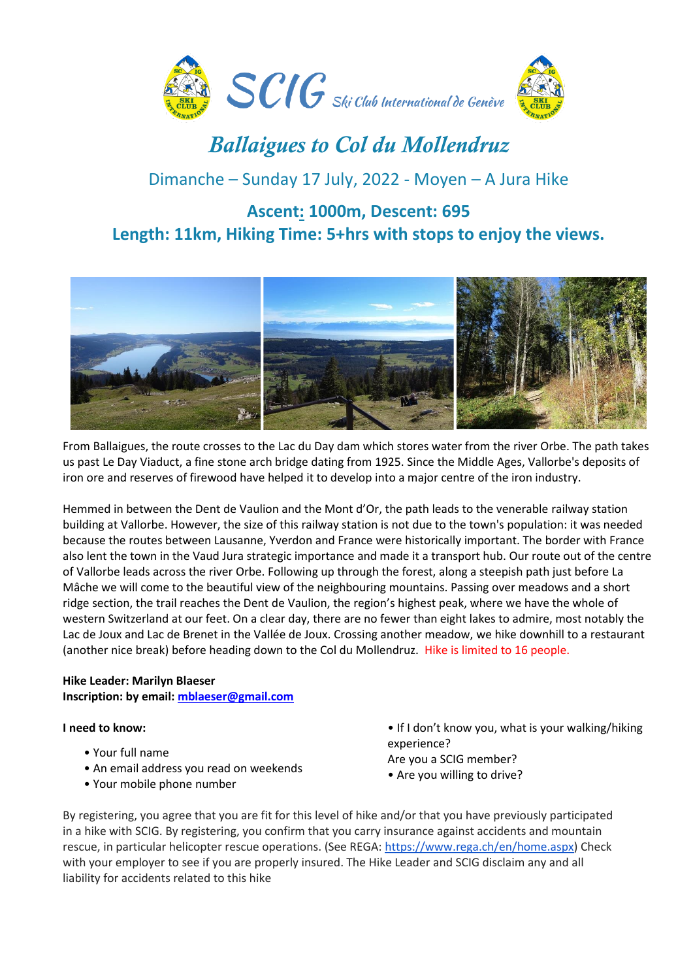

# *Ballaigues to Col du Mollendruz*

## Dimanche – Sunday 17 July, 2022 - Moyen – A Jura Hike

### **Ascent: 1000m, Descent: 695 Length: 11km, Hiking Time: 5+hrs with stops to enjoy the views.**



From Ballaigues, the route crosses to the Lac du Day dam which stores water from the river Orbe. The path takes us past Le Day Viaduct, a fine stone arch bridge dating from 1925. Since the Middle Ages, Vallorbe's deposits of iron ore and reserves of firewood have helped it to develop into a major centre of the iron industry.

Hemmed in between the Dent de Vaulion and the Mont d'Or, the path leads to the venerable railway station building at Vallorbe. However, the size of this railway station is not due to the town's population: it was needed because the routes between Lausanne, Yverdon and France were historically important. The border with France also lent the town in the Vaud Jura strategic importance and made it a transport hub. Our route out of the centre of Vallorbe leads across the river Orbe. Following up through the forest, along a steepish path just before La Mâche we will come to the beautiful view of the neighbouring mountains. Passing over meadows and a short ridge section, the trail reaches the Dent de Vaulion, the region's highest peak, where we have the whole of western Switzerland at our feet. On a clear day, there are no fewer than eight lakes to admire, most notably the Lac de Joux and Lac de Brenet in the Vallée de Joux. Crossing another meadow, we hike downhill to a restaurant (another nice break) before heading down to the Col du Mollendruz. Hike is limited to 16 people.

### **Hike Leader: Marilyn Blaeser Inscription: by email[: mblaeser@gmail.com](mailto:mblaeser@gmail.com)**

### **I need to know:**

- Your full name
- An email address you read on weekends
- Your mobile phone number
- If I don't know you, what is your walking/hiking experience? Are you a SCIG member?
- Are you willing to drive?

By registering, you agree that you are fit for this level of hike and/or that you have previously participated in a hike with SCIG. By registering, you confirm that you carry insurance against accidents and mountain rescue, in particular helicopter rescue operations. (See REGA: [https://www.rega.ch/en/home.aspx\)](https://www.rega.ch/en/home.aspx) Check with your employer to see if you are properly insured. The Hike Leader and SCIG disclaim any and all liability for accidents related to this hike